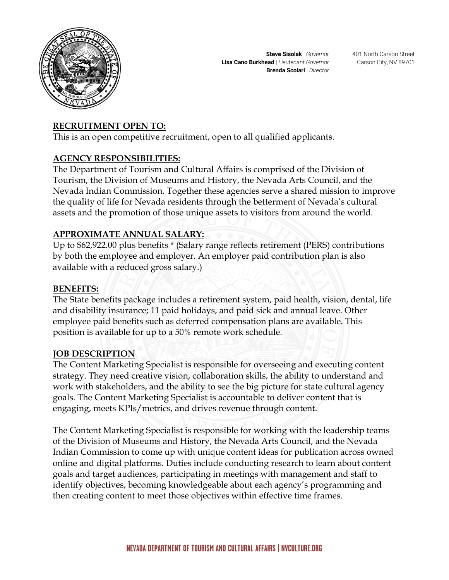

### **RECRUITMENT OPEN TO:**

This is an open competitive recruitment, open to all qualified applicants.

#### **AGENCY RESPONSIBILITIES:**

The Department of Tourism and Cultural Affairs is comprised of the Division of Tourism, the Division of Museums and History, the Nevada Arts Council, and the Nevada Indian Commission. Together these agencies serve a shared mission to improve the quality of life for Nevada residents through the betterment of Nevada's cultural assets and the promotion of those unique assets to visitors from around the world.

### **APPROXIMATE ANNUAL SALARY:**

Up to \$62,922.00 plus benefits \* (Salary range reflects retirement (PERS) contributions by both the employee and employer. An employer paid contribution plan is also available with a reduced gross salary.)

#### **BENEFITS:**

The State benefits package includes a retirement system, paid health, vision, dental, life and disability insurance; 11 paid holidays, and paid sick and annual leave. Other employee paid benefits such as deferred compensation plans are available. This position is available for up to a 50% remote work schedule.

#### **JOB DESCRIPTION**

The Content Marketing Specialist is responsible for overseeing and executing content strategy. They need creative vision, collaboration skills, the ability to understand and work with stakeholders, and the ability to see the big picture for state cultural agency goals. The Content Marketing Specialist is accountable to deliver content that is engaging, meets KPIs/metrics, and drives revenue through content.

The Content Marketing Specialist is responsible for working with the leadership teams of the Division of Museums and History, the Nevada Arts Council, and the Nevada Indian Commission to come up with unique content ideas for publication across owned online and digital platforms. Duties include conducting research to learn about content goals and target audiences, participating in meetings with management and staff to identify objectives, becoming knowledgeable about each agency's programming and then creating content to meet those objectives within effective time frames.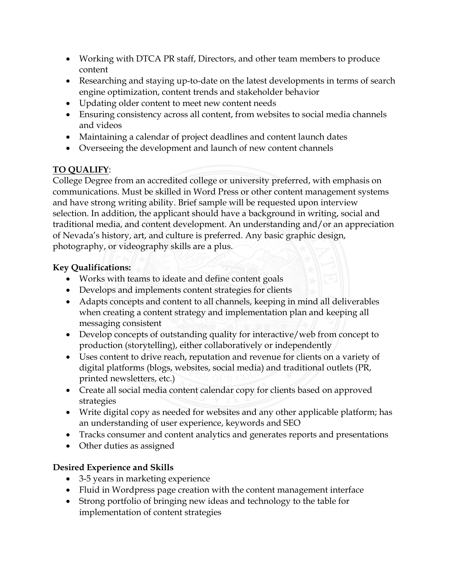- Working with DTCA PR staff, Directors, and other team members to produce content
- Researching and staying up-to-date on the latest developments in terms of search engine optimization, content trends and stakeholder behavior
- Updating older content to meet new content needs
- Ensuring consistency across all content, from websites to social media channels and videos
- Maintaining a calendar of project deadlines and content launch dates
- Overseeing the development and launch of new content channels

# **TO QUALIFY**:

College Degree from an accredited college or university preferred, with emphasis on communications. Must be skilled in Word Press or other content management systems and have strong writing ability. Brief sample will be requested upon interview selection. In addition, the applicant should have a background in writing, social and traditional media, and content development. An understanding and/or an appreciation of Nevada's history, art, and culture is preferred. Any basic graphic design, photography, or videography skills are a plus.

# **Key Qualifications:**

- Works with teams to ideate and define content goals
- Develops and implements content strategies for clients
- Adapts concepts and content to all channels, keeping in mind all deliverables when creating a content strategy and implementation plan and keeping all messaging consistent
- Develop concepts of outstanding quality for interactive/web from concept to production (storytelling), either collaboratively or independently
- Uses content to drive reach, reputation and revenue for clients on a variety of digital platforms (blogs, websites, social media) and traditional outlets (PR, printed newsletters, etc.)
- Create all social media content calendar copy for clients based on approved strategies
- Write digital copy as needed for websites and any other applicable platform; has an understanding of user experience, keywords and SEO
- Tracks consumer and content analytics and generates reports and presentations
- Other duties as assigned

# **Desired Experience and Skills**

- 3-5 years in marketing experience
- Fluid in Wordpress page creation with the content management interface
- Strong portfolio of bringing new ideas and technology to the table for implementation of content strategies